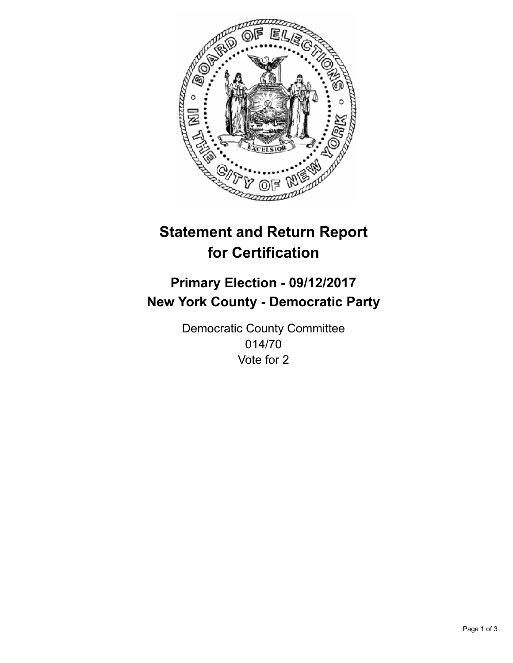

## **Statement and Return Report for Certification**

## **Primary Election - 09/12/2017 New York County - Democratic Party**

Democratic County Committee 014/70 Vote for 2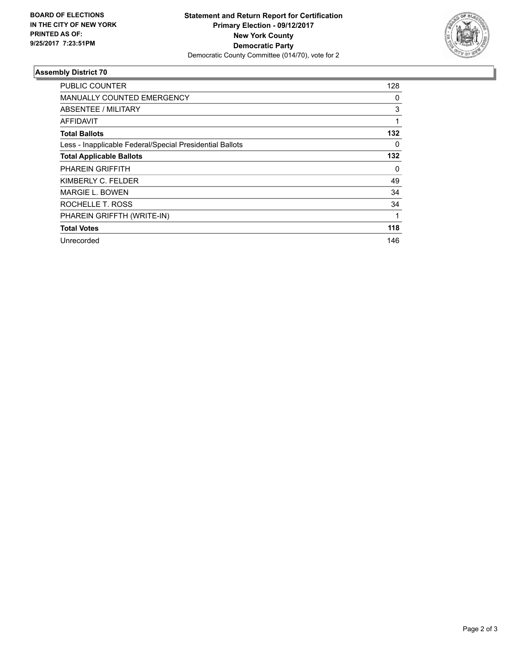

## **Assembly District 70**

| <b>PUBLIC COUNTER</b>                                    | 128 |
|----------------------------------------------------------|-----|
| <b>MANUALLY COUNTED EMERGENCY</b>                        | 0   |
| ABSENTEE / MILITARY                                      | 3   |
| <b>AFFIDAVIT</b>                                         | 1   |
| <b>Total Ballots</b>                                     | 132 |
| Less - Inapplicable Federal/Special Presidential Ballots | 0   |
| <b>Total Applicable Ballots</b>                          | 132 |
| <b>PHAREIN GRIFFITH</b>                                  | 0   |
| KIMBERLY C. FELDER                                       | 49  |
| MARGIE L. BOWEN                                          | 34  |
| ROCHELLE T. ROSS                                         | 34  |
| PHAREIN GRIFFTH (WRITE-IN)                               |     |
| <b>Total Votes</b>                                       | 118 |
| Unrecorded                                               | 146 |